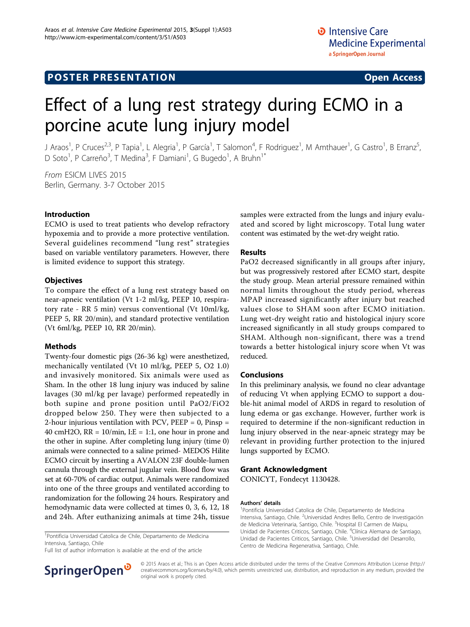# **POSTER PRESENTATION CONSUMING ACCESS**

# Effect of a lung rest strategy during ECMO in a porcine acute lung injury model

J Araos<sup>1</sup>, P Cruces<sup>2,3</sup>, P Tapia<sup>1</sup>, L Alegria<sup>1</sup>, P García<sup>1</sup>, T Salomon<sup>4</sup>, F Rodriguez<sup>1</sup>, M Amthauer<sup>1</sup>, G Castro<sup>1</sup>, B Erranz<sup>5</sup> , D Soto<sup>1</sup>, P Carreño<sup>3</sup>, T Medina<sup>3</sup>, F Damiani<sup>1</sup>, G Bugedo<sup>1</sup>, A Bruhn<sup>1\*</sup>

From ESICM LIVES 2015 Berlin, Germany. 3-7 October 2015

### Introduction

ECMO is used to treat patients who develop refractory hypoxemia and to provide a more protective ventilation. Several guidelines recommend "lung rest" strategies based on variable ventilatory parameters. However, there is limited evidence to support this strategy.

#### **Objectives**

To compare the effect of a lung rest strategy based on near-apneic ventilation (Vt 1-2 ml/kg, PEEP 10, respiratory rate - RR 5 min) versus conventional (Vt 10ml/kg, PEEP 5, RR 20/min), and standard protective ventilation (Vt 6ml/kg, PEEP 10, RR 20/min).

#### Methods

Twenty-four domestic pigs (26-36 kg) were anesthetized, mechanically ventilated (Vt 10 ml/kg, PEEP 5, O2 1.0) and invasively monitored. Six animals were used as Sham. In the other 18 lung injury was induced by saline lavages (30 ml/kg per lavage) performed repeatedly in both supine and prone position until PaO2/FiO2 dropped below 250. They were then subjected to a 2-hour injurious ventilation with PCV, PEEP = 0, Pinsp = 40 cmH2O,  $RR = 10/min$ , I:E = 1:1, one hour in prone and the other in supine. After completing lung injury (time 0) animals were connected to a saline primed- MEDOS Hilite ECMO circuit by inserting a AVALON 23F double-lumen cannula through the external jugular vein. Blood flow was set at 60-70% of cardiac output. Animals were randomized into one of the three groups and ventilated according to randomization for the following 24 hours. Respiratory and hemodynamic data were collected at times 0, 3, 6, 12, 18 and 24h. After euthanizing animals at time 24h, tissue

<sup>1</sup>Pontificia Universidad Catolica de Chile, Departamento de Medicina Intensiva, Santiago, Chile

Full list of author information is available at the end of the article



samples were extracted from the lungs and injury evaluated and scored by light microscopy. Total lung water content was estimated by the wet-dry weight ratio.

# Results

PaO2 decreased significantly in all groups after injury, but was progressively restored after ECMO start, despite the study group. Mean arterial pressure remained within normal limits throughout the study period, whereas MPAP increased significantly after injury but reached values close to SHAM soon after ECMO initiation. Lung wet-dry weight ratio and histological injury score increased significantly in all study groups compared to SHAM. Although non-significant, there was a trend towards a better histological injury score when Vt was reduced.

## Conclusions

In this preliminary analysis, we found no clear advantage of reducing Vt when applying ECMO to support a double-hit animal model of ARDS in regard to resolution of lung edema or gas exchange. However, further work is required to determine if the non-significant reduction in lung injury observed in the near-apneic strategy may be relevant in providing further protection to the injured lungs supported by ECMO.

### Grant Acknowledgment

CONICYT, Fondecyt 1130428.

#### Authors' details <sup>1</sup>

<sup>1</sup> Pontificia Universidad Catolica de Chile, Departamento de Medicina Intensiva, Santiago, Chile. <sup>2</sup>Universidad Andres Bello, Centro de Investigación de Medicina Veterinaria, Santigo, Chile. <sup>3</sup>Hospital El Carmen de Maipu, Unidad de Pacientes Criticos, Santiago, Chile. <sup>4</sup>Clínica Alemana de Santiago Unidad de Pacientes Criticos, Santiago, Chile. <sup>5</sup>Universidad del Desarrollo Centro de Medicina Regenerativa, Santiago, Chile.

© 2015 Araos et al.; This is an Open Access article distributed under the terms of the Creative Commons Attribution License [\(http://](http://creativecommons.org/licenses/by/4.0) [creativecommons.org/licenses/by/4.0](http://creativecommons.org/licenses/by/4.0)), which permits unrestricted use, distribution, and reproduction in any medium, provided the original work is properly cited.